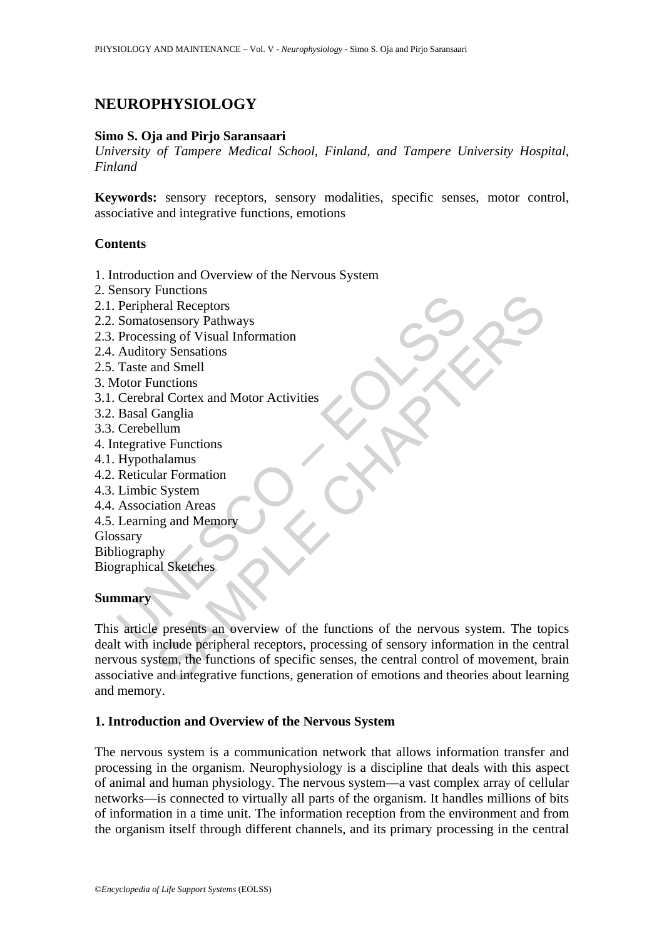# **NEUROPHYSIOLOGY**

#### **Simo S. Oja and Pirjo Saransaari**

*University of Tampere Medical School, Finland, and Tampere University Hospital, Finland* 

**Keywords:** sensory receptors, sensory modalities, specific senses, motor control, associative and integrative functions, emotions

#### **Contents**

- 1. Introduction and Overview of the Nervous System
- 2. Sensory Functions
- 2.1. Peripheral Receptors
- 2.2. Somatosensory Pathways
- 2.3. Processing of Visual Information
- 2.4. Auditory Sensations
- 2.5. Taste and Smell
- 3. Motor Functions
- 3.1. Cerebral Cortex and Motor Activities
- 3.2. Basal Ganglia
- 3.3. Cerebellum
- 4. Integrative Functions
- 4.1. Hypothalamus
- 4.2. Reticular Formation
- 4.3. Limbic System
- 4.4. Association Areas
- 4.5. Learning and Memory

Glossary

Bibliography

Biographical Sketches

### **Summary**

Chancy 1 and<br>constraints of Peripheral Receptors<br>Somatosensory Pathways<br>Processing of Visual Information<br>Auditory Sensations<br>Taste and Smoth Christies<br>Cerebral Cortex and Motor Activities<br>Basal Ganglia<br>Cerebellum<br>Integrati Functions<br>
Figure (Packing of Visual Information<br>
osensory Pathways<br>
sing of Visual Information<br>
unctions<br>
and Some<br>
unctions<br>
and Samellinum<br>
New Functions<br>
Lar Formation<br>
And Memory<br>
Lar Formation<br>
And Memory<br>
Say all Sk This article presents an overview of the functions of the nervous system. The topics dealt with include peripheral receptors, processing of sensory information in the central nervous system, the functions of specific senses, the central control of movement, brain associative and integrative functions, generation of emotions and theories about learning and memory.

### **1. Introduction and Overview of the Nervous System**

The nervous system is a communication network that allows information transfer and processing in the organism. Neurophysiology is a discipline that deals with this aspect of animal and human physiology. The nervous system—a vast complex array of cellular networks—is connected to virtually all parts of the organism. It handles millions of bits of information in a time unit. The information reception from the environment and from the organism itself through different channels, and its primary processing in the central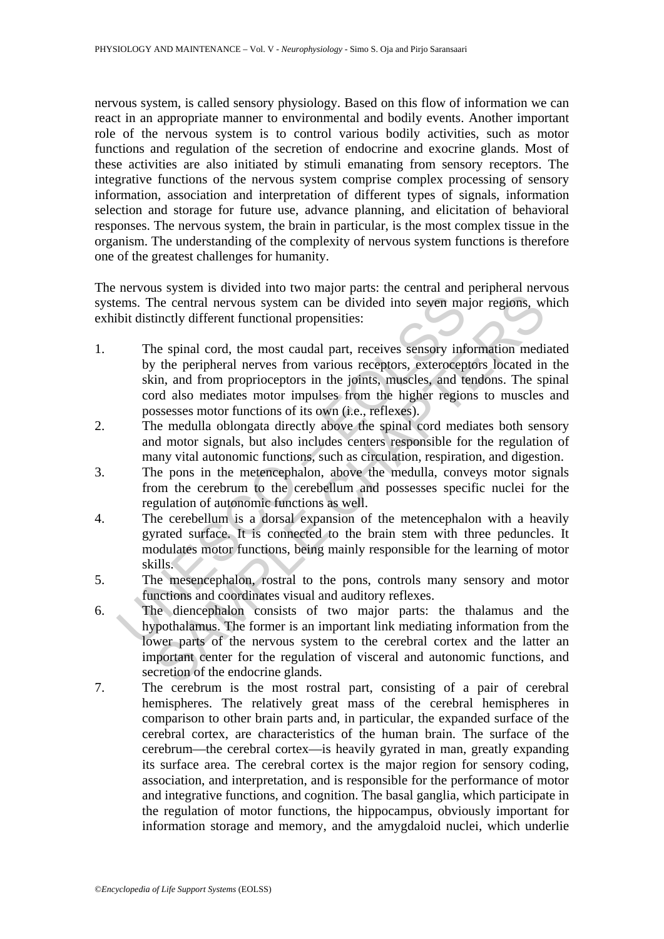nervous system, is called sensory physiology. Based on this flow of information we can react in an appropriate manner to environmental and bodily events. Another important role of the nervous system is to control various bodily activities, such as motor functions and regulation of the secretion of endocrine and exocrine glands. Most of these activities are also initiated by stimuli emanating from sensory receptors. The integrative functions of the nervous system comprise complex processing of sensory information, association and interpretation of different types of signals, information selection and storage for future use, advance planning, and elicitation of behavioral responses. The nervous system, the brain in particular, is the most complex tissue in the organism. The understanding of the complexity of nervous system functions is therefore one of the greatest challenges for humanity.

The nervous system is divided into two major parts: the central and peripheral nervous systems. The central nervous system can be divided into seven major regions, which exhibit distinctly different functional propensities:

- ems. The central nervous system can be divided into seven ma<br>bit distinctly different functional propensities:<br>The spinal cord, the most caudal part, receives sensory inf<br>by the peripheral nerves from various receptors, ex The central nervous system can be divided into seven major regions, where the central nervous system can be divided into seven major regions, whinctly different functional propensities:<br>
ne spinal cord, the most caudal par 1. The spinal cord, the most caudal part, receives sensory information mediated by the peripheral nerves from various receptors, exteroceptors located in the skin, and from proprioceptors in the joints, muscles, and tendons. The spinal cord also mediates motor impulses from the higher regions to muscles and possesses motor functions of its own (i.e., reflexes).
- 2. The medulla oblongata directly above the spinal cord mediates both sensory and motor signals, but also includes centers responsible for the regulation of many vital autonomic functions, such as circulation, respiration, and digestion.
- 3. The pons in the metencephalon, above the medulla, conveys motor signals from the cerebrum to the cerebellum and possesses specific nuclei for the regulation of autonomic functions as well.
- 4. The cerebellum is a dorsal expansion of the metencephalon with a heavily gyrated surface. It is connected to the brain stem with three peduncles. It modulates motor functions, being mainly responsible for the learning of motor skills.
- 5. The mesencephalon, rostral to the pons, controls many sensory and motor functions and coordinates visual and auditory reflexes.
- 6. The diencephalon consists of two major parts: the thalamus and the hypothalamus. The former is an important link mediating information from the lower parts of the nervous system to the cerebral cortex and the latter an important center for the regulation of visceral and autonomic functions, and secretion of the endocrine glands.
- 7. The cerebrum is the most rostral part, consisting of a pair of cerebral hemispheres. The relatively great mass of the cerebral hemispheres in comparison to other brain parts and, in particular, the expanded surface of the cerebral cortex, are characteristics of the human brain. The surface of the cerebrum—the cerebral cortex—is heavily gyrated in man, greatly expanding its surface area. The cerebral cortex is the major region for sensory coding, association, and interpretation, and is responsible for the performance of motor and integrative functions, and cognition. The basal ganglia, which participate in the regulation of motor functions, the hippocampus, obviously important for information storage and memory, and the amygdaloid nuclei, which underlie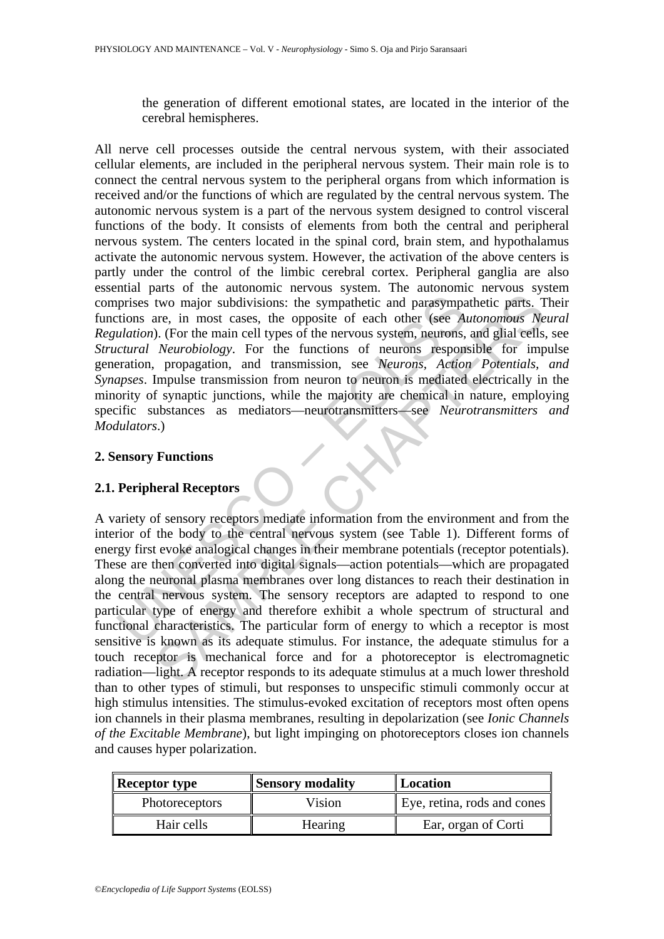the generation of different emotional states, are located in the interior of the cerebral hemispheres.

prises two major subdivisions: the sympathetic and parasympa<br>prises two major subdivisions: the sympathetic and parasympa<br>tions are, in most cases, the opposite of each other (see Ai<br>lation). (For the main cell types of th All nerve cell processes outside the central nervous system, with their associated cellular elements, are included in the peripheral nervous system. Their main role is to connect the central nervous system to the peripheral organs from which information is received and/or the functions of which are regulated by the central nervous system. The autonomic nervous system is a part of the nervous system designed to control visceral functions of the body. It consists of elements from both the central and peripheral nervous system. The centers located in the spinal cord, brain stem, and hypothalamus activate the autonomic nervous system. However, the activation of the above centers is partly under the control of the limbic cerebral cortex. Peripheral ganglia are also essential parts of the autonomic nervous system. The autonomic nervous system comprises two major subdivisions: the sympathetic and parasympathetic parts. Their functions are, in most cases, the opposite of each other (see *Autonomous Neural Regulation*). (For the main cell types of the nervous system, neurons, and glial cells, see *Structural Neurobiology*. For the functions of neurons responsible for impulse generation, propagation, and transmission, see *Neurons, Action Potentials, and Synapses*. Impulse transmission from neuron to neuron is mediated electrically in the minority of synaptic junctions, while the majority are chemical in nature, employing specific substances as mediators—neurotransmitters—see *Neurotransmitters and Modulators*.)

## **2. Sensory Functions**

# **2.1. Peripheral Receptors**

The main cell type of energy and therefore exhibit a whole spectrum of the proposition of energy in performance *Nutonomous Ne* .) (For the main cell types of the nervous system, neurons, and glial cells, Neurobiology. For A variety of sensory receptors mediate information from the environment and from the interior of the body to the central nervous system (see Table 1). Different forms of energy first evoke analogical changes in their membrane potentials (receptor potentials). These are then converted into digital signals—action potentials—which are propagated along the neuronal plasma membranes over long distances to reach their destination in the central nervous system. The sensory receptors are adapted to respond to one particular type of energy and therefore exhibit a whole spectrum of structural and functional characteristics. The particular form of energy to which a receptor is most sensitive is known as its adequate stimulus. For instance, the adequate stimulus for a touch receptor is mechanical force and for a photoreceptor is electromagnetic radiation—light. A receptor responds to its adequate stimulus at a much lower threshold than to other types of stimuli, but responses to unspecific stimuli commonly occur at high stimulus intensities. The stimulus-evoked excitation of receptors most often opens ion channels in their plasma membranes, resulting in depolarization (see *Ionic Channels of the Excitable Membrane*), but light impinging on photoreceptors closes ion channels and causes hyper polarization.

| $\parallel$ Receptor type | <b>Sensory modality</b> | Location                    |
|---------------------------|-------------------------|-----------------------------|
| <b>Photoreceptors</b>     | Vision                  | Eye, retina, rods and cones |
| Hair cells                | Hearing                 | Ear, organ of Corti         |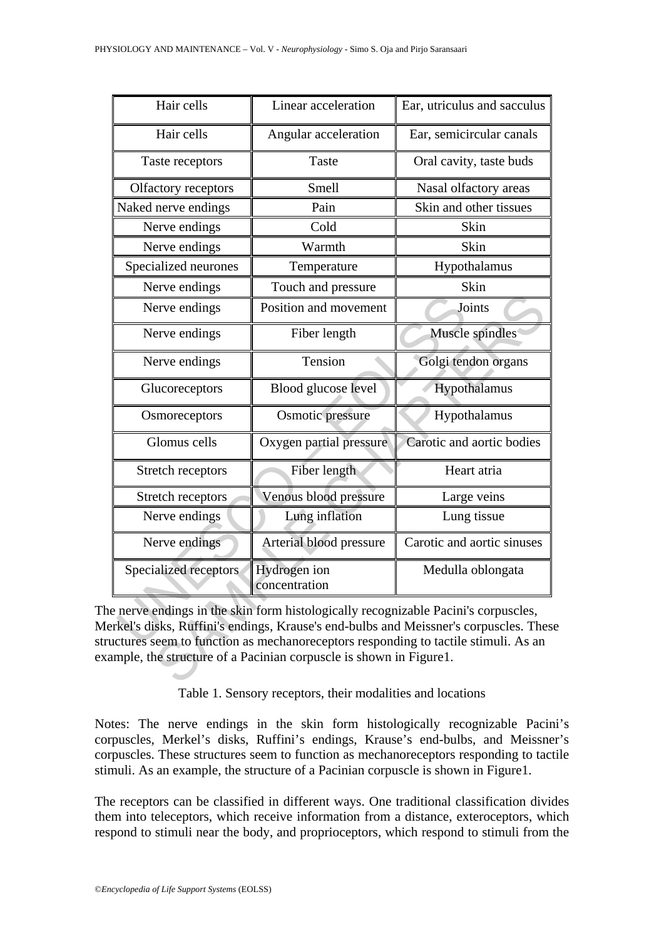| Hair cells                                                                                                                                                                                                                                                                                                                          | Linear acceleration           | Ear, utriculus and sacculus |  |
|-------------------------------------------------------------------------------------------------------------------------------------------------------------------------------------------------------------------------------------------------------------------------------------------------------------------------------------|-------------------------------|-----------------------------|--|
| Hair cells                                                                                                                                                                                                                                                                                                                          | Angular acceleration          | Ear, semicircular canals    |  |
| Taste receptors                                                                                                                                                                                                                                                                                                                     | Taste                         | Oral cavity, taste buds     |  |
| Olfactory receptors                                                                                                                                                                                                                                                                                                                 | Smell                         | Nasal olfactory areas       |  |
| Naked nerve endings                                                                                                                                                                                                                                                                                                                 | Pain                          | Skin and other tissues      |  |
| Nerve endings                                                                                                                                                                                                                                                                                                                       | Cold                          | Skin                        |  |
| Nerve endings                                                                                                                                                                                                                                                                                                                       | Warmth                        | Skin                        |  |
| Specialized neurones                                                                                                                                                                                                                                                                                                                | Temperature                   | Hypothalamus                |  |
| Nerve endings                                                                                                                                                                                                                                                                                                                       | Touch and pressure            | Skin                        |  |
| Nerve endings                                                                                                                                                                                                                                                                                                                       | Position and movement         | Joints                      |  |
| Nerve endings                                                                                                                                                                                                                                                                                                                       | Fiber length                  | Muscle spindles             |  |
| Nerve endings                                                                                                                                                                                                                                                                                                                       | Tension                       | Golgi tendon organs         |  |
| Glucoreceptors                                                                                                                                                                                                                                                                                                                      | Blood glucose level           | Hypothalamus                |  |
| Osmoreceptors                                                                                                                                                                                                                                                                                                                       | Osmotic pressure              | Hypothalamus                |  |
| Glomus cells                                                                                                                                                                                                                                                                                                                        | Oxygen partial pressure       | Carotic and aortic bodies   |  |
| Stretch receptors                                                                                                                                                                                                                                                                                                                   | Fiber length                  | Heart atria                 |  |
| Stretch receptors                                                                                                                                                                                                                                                                                                                   | Venous blood pressure         | Large veins                 |  |
| Nerve endings                                                                                                                                                                                                                                                                                                                       | Lung inflation                | Lung tissue                 |  |
| Nerve endings                                                                                                                                                                                                                                                                                                                       | Arterial blood pressure       | Carotic and aortic sinuses  |  |
| Specialized receptors                                                                                                                                                                                                                                                                                                               | Hydrogen ion<br>concentration | Medulla oblongata           |  |
| e nerve endings in the skin form histologically recognizable Pacini's corpuscles,<br>erkel's disks, Ruffini's endings, Krause's end-bulbs and Meissner's corpuscles. Thes<br>uctures seem to function as mechanoreceptors responding to tactile stimuli. As an<br>ample, the structure of a Pacinian corpuscle is shown in Figure1. |                               |                             |  |

The nerve endings in the skin form histologically recognizable Pacini's corpuscles, Merkel's disks, Ruffini's endings, Krause's end-bulbs and Meissner's corpuscles. These structures seem to function as mechanoreceptors responding to tactile stimuli. As an example, the structure of a Pacinian corpuscle is shown in Figure1.

Table 1. Sensory receptors, their modalities and locations

Notes: The nerve endings in the skin form histologically recognizable Pacini's corpuscles, Merkel's disks, Ruffini's endings, Krause's end-bulbs, and Meissner's corpuscles. These structures seem to function as mechanoreceptors responding to tactile stimuli. As an example, the structure of a Pacinian corpuscle is shown in Figure1.

The receptors can be classified in different ways. One traditional classification divides them into teleceptors, which receive information from a distance, exteroceptors, which respond to stimuli near the body, and proprioceptors, which respond to stimuli from the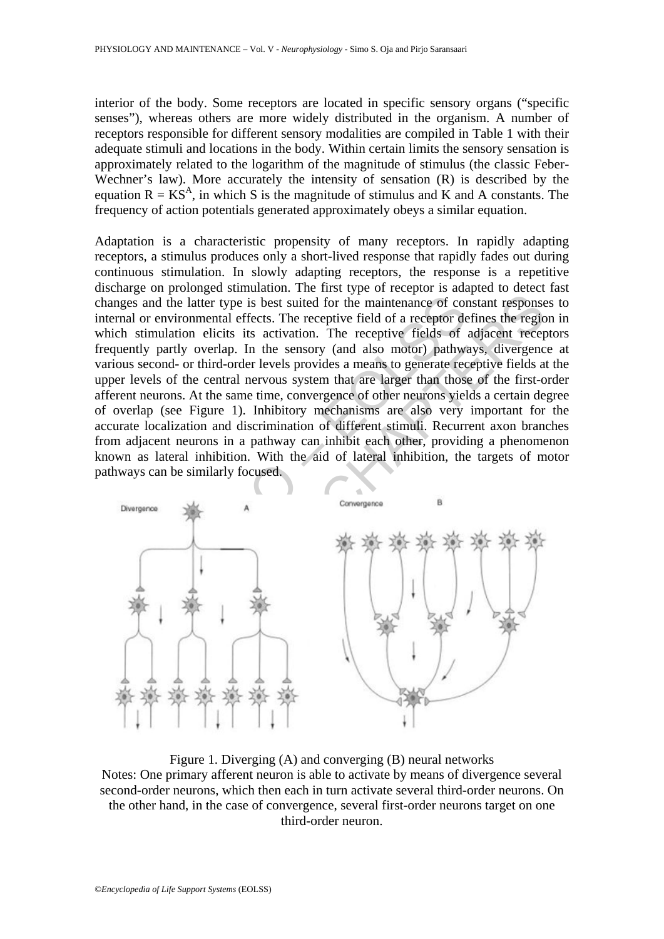interior of the body. Some receptors are located in specific sensory organs ("specific senses"), whereas others are more widely distributed in the organism. A number of receptors responsible for different sensory modalities are compiled in Table 1 with their adequate stimuli and locations in the body. Within certain limits the sensory sensation is approximately related to the logarithm of the magnitude of stimulus (the classic Feber-Wechner's law). More accurately the intensity of sensation (R) is described by the equation  $R = KS<sup>A</sup>$ , in which S is the magnitude of stimulus and K and A constants. The frequency of action potentials generated approximately obeys a similar equation.

The means of the latter type is best suited for the maintenance of correlation of environmental effects. The receptive field of a receptor decht stimulation elicits its activation. The receptive fields of uently partly ove Adaptation is a characteristic propensity of many receptors. In rapidly adapting receptors, a stimulus produces only a short-lived response that rapidly fades out during continuous stimulation. In slowly adapting receptors, the response is a repetitive discharge on prolonged stimulation. The first type of receptor is adapted to detect fast changes and the latter type is best suited for the maintenance of constant responses to internal or environmental effects. The receptive field of a receptor defines the region in which stimulation elicits its activation. The receptive fields of adjacent receptors frequently partly overlap. In the sensory (and also motor) pathways, divergence at various second- or third-order levels provides a means to generate receptive fields at the upper levels of the central nervous system that are larger than those of the first-order afferent neurons. At the same time, convergence of other neurons yields a certain degree of overlap (see Figure 1). Inhibitory mechanisms are also very important for the accurate localization and discrimination of different stimuli. Recurrent axon branches from adjacent neurons in a pathway can inhibit each other, providing a phenomenon known as lateral inhibition. With the aid of lateral inhibition, the targets of motor pathways can be similarly focused.



Figure 1. Diverging (A) and converging (B) neural networks Notes: One primary afferent neuron is able to activate by means of divergence several second-order neurons, which then each in turn activate several third-order neurons. On the other hand, in the case of convergence, several first-order neurons target on one third-order neuron.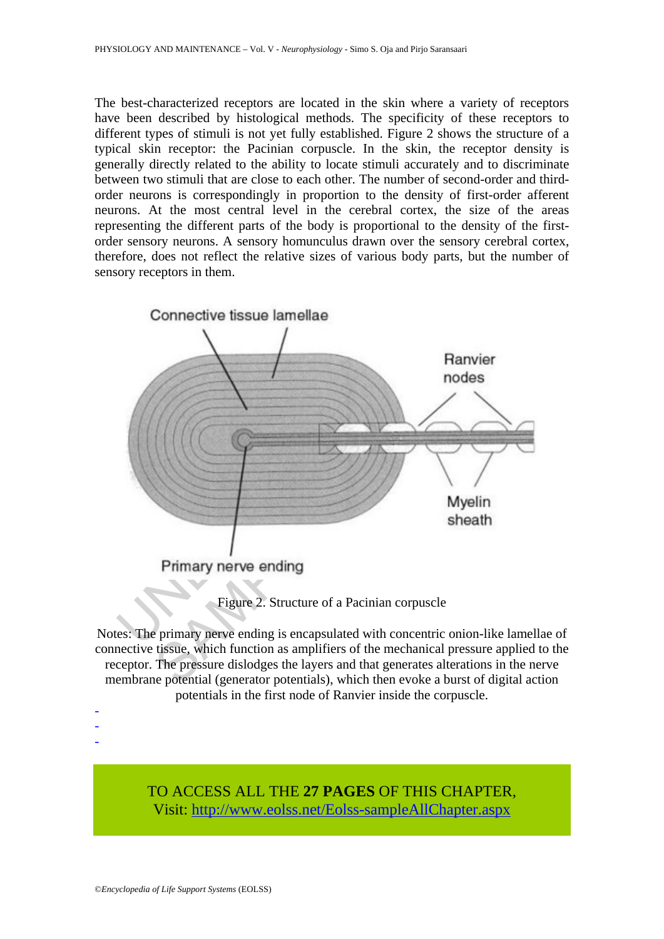The best-characterized receptors are located in the skin where a variety of receptors have been described by histological methods. The specificity of these receptors to different types of stimuli is not yet fully established. Figure 2 shows the structure of a typical skin receptor: the Pacinian corpuscle. In the skin, the receptor density is generally directly related to the ability to locate stimuli accurately and to discriminate between two stimuli that are close to each other. The number of second-order and thirdorder neurons is correspondingly in proportion to the density of first-order afferent neurons. At the most central level in the cerebral cortex, the size of the areas representing the different parts of the body is proportional to the density of the firstorder sensory neurons. A sensory homunculus drawn over the sensory cerebral cortex, therefore, does not reflect the relative sizes of various body parts, but the number of sensory receptors in them.



Figure 2. Structure of a Pacinian corpuscle

Notes: The primary nerve ending is encapsulated with concentric onion-like lamellae of connective tissue, which function as amplifiers of the mechanical pressure applied to the receptor. The pressure dislodges the layers and that generates alterations in the nerve membrane potential (generator potentials), which then evoke a burst of digital action potentials in the first node of Ranvier inside the corpuscle.

> TO ACCESS ALL THE **27 PAGES** OF THIS CHAPTER, Visit[: http://www.eolss.net/Eolss-sampleAllChapter.aspx](https://www.eolss.net/ebooklib/sc_cart.aspx?File=E6-54-09)

- - -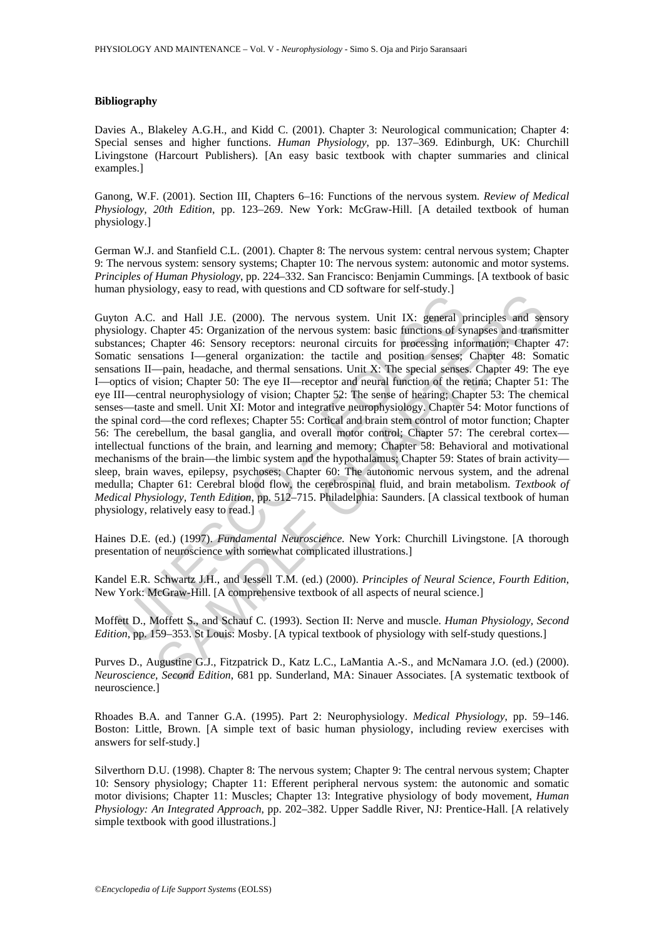#### **Bibliography**

Davies A., Blakeley A.G.H., and Kidd C. (2001). Chapter 3: Neurological communication; Chapter 4: Special senses and higher functions. *Human Physiology*, pp. 137–369. Edinburgh, UK: Churchill Livingstone (Harcourt Publishers). [An easy basic textbook with chapter summaries and clinical examples.]

Ganong, W.F. (2001). Section III, Chapters 6–16: Functions of the nervous system. *Review of Medical Physiology, 20th Edition*, pp. 123–269. New York: McGraw-Hill. [A detailed textbook of human physiology.]

German W.J. and Stanfield C.L. (2001). Chapter 8: The nervous system: central nervous system; Chapter 9: The nervous system: sensory systems; Chapter 10: The nervous system: autonomic and motor systems. *Principles of Human Physiology*, pp. 224–332. San Francisco: Benjamin Cummings. [A textbook of basic human physiology, easy to read, with questions and CD software for self-study.

In prystals, teached and Hall J.E. (2000). The nervous system. Unit IX: general piology. Chapter 45: Organization of the nervous system: basic functions of system is the functions of system. Unit IX: general parameters: Ch and Hall J.E. (2000). The nervous system, Unit IX: general principles and send Hall J.E. (2000). The nervous system: basic functions of synapses and transmeter 45: Organization of the nervous system: basic functions of sy Guyton A.C. and Hall J.E. (2000). The nervous system. Unit IX: general principles and sensory physiology. Chapter 45: Organization of the nervous system: basic functions of synapses and transmitter substances; Chapter 46: Sensory receptors: neuronal circuits for processing information; Chapter 47: Somatic sensations I—general organization: the tactile and position senses; Chapter 48: Somatic sensations II—pain, headache, and thermal sensations. Unit X: The special senses. Chapter 49: The eye I—optics of vision; Chapter 50: The eye II—receptor and neural function of the retina; Chapter 51: The eye III—central neurophysiology of vision; Chapter 52: The sense of hearing; Chapter 53: The chemical senses—taste and smell. Unit XI: Motor and integrative neurophysiology. Chapter 54: Motor functions of the spinal cord—the cord reflexes; Chapter 55: Cortical and brain stem control of motor function; Chapter 56: The cerebellum, the basal ganglia, and overall motor control; Chapter 57: The cerebral cortex intellectual functions of the brain, and learning and memory; Chapter 58: Behavioral and motivational mechanisms of the brain—the limbic system and the hypothalamus; Chapter 59: States of brain activity sleep, brain waves, epilepsy, psychoses; Chapter 60: The autonomic nervous system, and the adrenal medulla; Chapter 61: Cerebral blood flow, the cerebrospinal fluid, and brain metabolism. *Textbook of Medical Physiology, Tenth Edition*, pp. 512–715. Philadelphia: Saunders. [A classical textbook of human physiology, relatively easy to read.]

Haines D.E. (ed.) (1997). *Fundamental Neuroscience.* New York: Churchill Livingstone. [A thorough presentation of neuroscience with somewhat complicated illustrations.]

Kandel E.R. Schwartz J.H., and Jessell T.M. (ed.) (2000). *Principles of Neural Science, Fourth Edition*, New York: McGraw-Hill. [A comprehensive textbook of all aspects of neural science.]

Moffett D., Moffett S., and Schauf C. (1993). Section II: Nerve and muscle. *Human Physiology, Second Edition*, pp. 159–353. St Louis: Mosby. [A typical textbook of physiology with self-study questions.]

Purves D., Augustine G.J., Fitzpatrick D., Katz L.C., LaMantia A.-S., and McNamara J.O. (ed.) (2000). *Neuroscience, Second Edition*, 681 pp. Sunderland, MA: Sinauer Associates. [A systematic textbook of neuroscience.]

Rhoades B.A. and Tanner G.A. (1995). Part 2: Neurophysiology. *Medical Physiology*, pp. 59–146. Boston: Little, Brown. [A simple text of basic human physiology, including review exercises with answers for self-study.]

Silverthorn D.U. (1998). Chapter 8: The nervous system; Chapter 9: The central nervous system; Chapter 10: Sensory physiology; Chapter 11: Efferent peripheral nervous system: the autonomic and somatic motor divisions; Chapter 11: Muscles; Chapter 13: Integrative physiology of body movement, *Human Physiology: An Integrated Approach*, pp. 202–382. Upper Saddle River, NJ: Prentice-Hall. [A relatively simple textbook with good illustrations.]